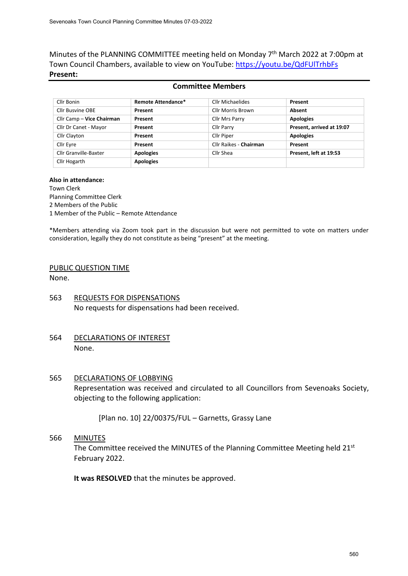Minutes of the PLANNING COMMITTEE meeting held on Monday 7<sup>th</sup> March 2022 at 7:00pm at Town Council Chambers, available to view on YouTube: <https://youtu.be/QdFUlTrhbFs> **Present:**

### **Committee Members**

| Cllr Bonin                | <b>Remote Attendance*</b> | Cllr Michaelides       | Present                   |
|---------------------------|---------------------------|------------------------|---------------------------|
| <b>Cllr Busvine OBE</b>   | Present                   | Cllr Morris Brown      | Absent                    |
| Cllr Camp - Vice Chairman | Present                   | Cllr Mrs Parry         | <b>Apologies</b>          |
| Cllr Dr Canet - Mayor     | Present                   | <b>Cllr Parry</b>      | Present, arrived at 19:07 |
| Cllr Clayton              | Present                   | Cllr Piper             | <b>Apologies</b>          |
| Cllr Eyre                 | Present                   | Cllr Raikes - Chairman | Present                   |
| Cllr Granville-Baxter     | <b>Apologies</b>          | Cllr Shea              | Present, left at 19:53    |
| Cllr Hogarth              | <b>Apologies</b>          |                        |                           |

#### **Also in attendance:**

Town Clerk

Planning Committee Clerk 2 Members of the Public

1 Member of the Public – Remote Attendance

\*Members attending via Zoom took part in the discussion but were not permitted to vote on matters under consideration, legally they do not constitute as being "present" at the meeting.

### PUBLIC QUESTION TIME

None.

- 563 REQUESTS FOR DISPENSATIONS No requests for dispensations had been received.
- 564 DECLARATIONS OF INTEREST None.
- 565 DECLARATIONS OF LOBBYING Representation was received and circulated to all Councillors from Sevenoaks Society, objecting to the following application:

[Plan no. 10] 22/00375/FUL – Garnetts, Grassy Lane

566 MINUTES

The Committee received the MINUTES of the Planning Committee Meeting held 21st February 2022.

**It was RESOLVED** that the minutes be approved.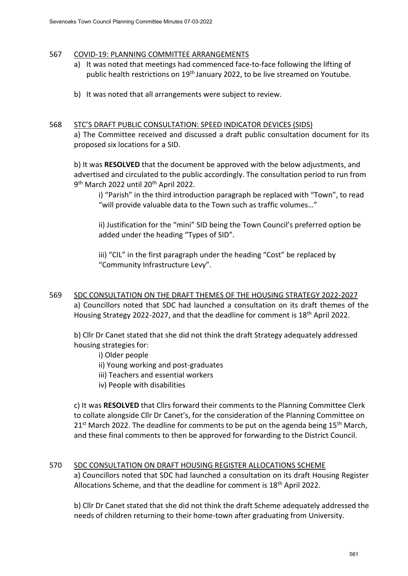### 567 COVID-19: PLANNING COMMITTEE ARRANGEMENTS

- a) It was noted that meetings had commenced face-to-face following the lifting of public health restrictions on 19<sup>th</sup> January 2022, to be live streamed on Youtube.
- b) It was noted that all arrangements were subject to review.

### 568 STC'S DRAFT PUBLIC CONSULTATION: SPEED INDICATOR DEVICES (SIDS)

a) The Committee received and discussed a draft public consultation document for its proposed six locations for a SID.

b) It was **RESOLVED** that the document be approved with the below adjustments, and advertised and circulated to the public accordingly. The consultation period to run from 9<sup>th</sup> March 2022 until 20<sup>th</sup> April 2022.

i) "Parish" in the third introduction paragraph be replaced with "Town", to read "will provide valuable data to the Town such as traffic volumes…"

ii) Justification for the "mini" SID being the Town Council's preferred option be added under the heading "Types of SID".

iii) "CIL" in the first paragraph under the heading "Cost" be replaced by "Community Infrastructure Levy".

569 SDC CONSULTATION ON THE DRAFT THEMES OF THE HOUSING STRATEGY 2022-2027 a) Councillors noted that SDC had launched a consultation on its draft themes of the Housing Strategy 2022-2027, and that the deadline for comment is 18<sup>th</sup> April 2022.

b) Cllr Dr Canet stated that she did not think the draft Strategy adequately addressed housing strategies for:

i) Older people

ii) Young working and post-graduates

- iii) Teachers and essential workers
- iv) People with disabilities

c) It was **RESOLVED** that Cllrs forward their comments to the Planning Committee Clerk to collate alongside Cllr Dr Canet's, for the consideration of the Planning Committee on  $21^{st}$  March 2022. The deadline for comments to be put on the agenda being 15<sup>th</sup> March, and these final comments to then be approved for forwarding to the District Council.

# 570 SDC CONSULTATION ON DRAFT HOUSING REGISTER ALLOCATIONS SCHEME

a) Councillors noted that SDC had launched a consultation on its draft Housing Register Allocations Scheme, and that the deadline for comment is 18<sup>th</sup> April 2022.

b) Cllr Dr Canet stated that she did not think the draft Scheme adequately addressed the needs of children returning to their home-town after graduating from University.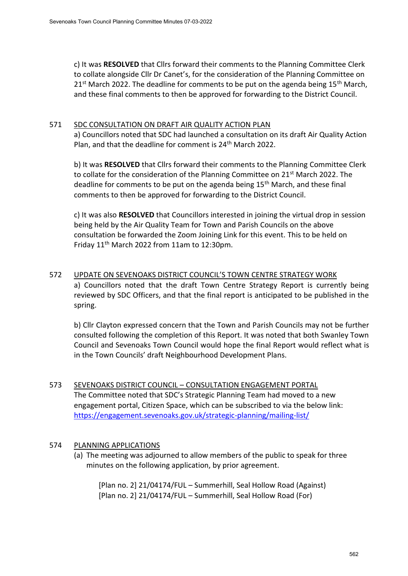c) It was **RESOLVED** that Cllrs forward their comments to the Planning Committee Clerk to collate alongside Cllr Dr Canet's, for the consideration of the Planning Committee on  $21^{st}$  March 2022. The deadline for comments to be put on the agenda being 15<sup>th</sup> March, and these final comments to then be approved for forwarding to the District Council.

### 571 SDC CONSULTATION ON DRAFT AIR QUALITY ACTION PLAN

a) Councillors noted that SDC had launched a consultation on its draft Air Quality Action Plan, and that the deadline for comment is 24th March 2022.

b) It was **RESOLVED** that Cllrs forward their comments to the Planning Committee Clerk to collate for the consideration of the Planning Committee on 21<sup>st</sup> March 2022. The deadline for comments to be put on the agenda being 15<sup>th</sup> March, and these final comments to then be approved for forwarding to the District Council.

c) It was also **RESOLVED** that Councillors interested in joining the virtual drop in session being held by the Air Quality Team for Town and Parish Councils on the above consultation be forwarded the Zoom Joining Link for this event. This to be held on Friday 11th March 2022 from 11am to 12:30pm.

## 572 UPDATE ON SEVENOAKS DISTRICT COUNCIL'S TOWN CENTRE STRATEGY WORK a) Councillors noted that the draft Town Centre Strategy Report is currently being reviewed by SDC Officers, and that the final report is anticipated to be published in the

b) Cllr Clayton expressed concern that the Town and Parish Councils may not be further consulted following the completion of this Report. It was noted that both Swanley Town Council and Sevenoaks Town Council would hope the final Report would reflect what is in the Town Councils' draft Neighbourhood Development Plans.

573 SEVENOAKS DISTRICT COUNCIL – CONSULTATION ENGAGEMENT PORTAL The Committee noted that SDC's Strategic Planning Team had moved to a new engagement portal, Citizen Space, which can be subscribed to via the below link: <https://engagement.sevenoaks.gov.uk/strategic-planning/mailing-list/>

### 574 PLANNING APPLICATIONS

spring.

(a) The meeting was adjourned to allow members of the public to speak for three minutes on the following application, by prior agreement.

[Plan no. 2] 21/04174/FUL – Summerhill, Seal Hollow Road (Against) [Plan no. 2] 21/04174/FUL – Summerhill, Seal Hollow Road (For)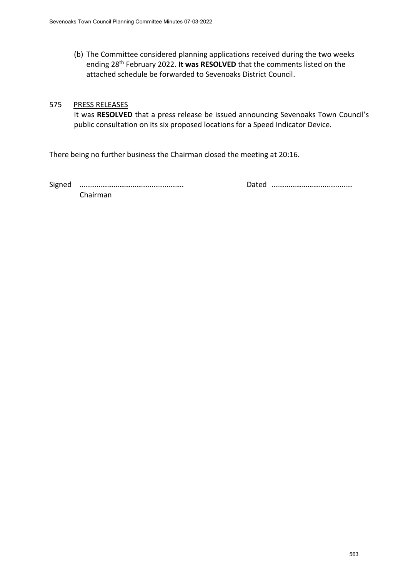(b) The Committee considered planning applications received during the two weeks ending 28th February 2022. **It was RESOLVED** that the comments listed on the attached schedule be forwarded to Sevenoaks District Council.

### 575 PRESS RELEASES

It was **RESOLVED** that a press release be issued announcing Sevenoaks Town Council's public consultation on its six proposed locations for a Speed Indicator Device.

There being no further business the Chairman closed the meeting at 20:16.

Signed ………………………………………………. Dated .……………………………………

Chairman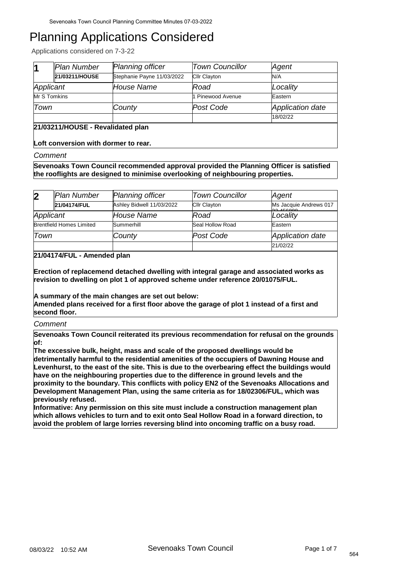Applications considered on 7-3-22

|                                   | Plan Number    | <b>Planning officer</b>    | <b>Town Councillor</b> | Agent                   |
|-----------------------------------|----------------|----------------------------|------------------------|-------------------------|
|                                   | 21/03211/HOUSE | Stephanie Payne 11/03/2022 | <b>CIIr Clayton</b>    | N/A                     |
| Applicant                         |                | House Name                 | Road                   | Locality                |
| Mr S Tomkins                      |                |                            | 1 Pinewood Avenue      | Eastern                 |
| Town                              |                | County                     | Post Code              | <b>Application date</b> |
|                                   |                |                            |                        | 18/02/22                |
| 21/03211/HOUSE - Revalidated plan |                |                            |                        |                         |

**Loft conversion with dormer to rear.**

#### *Comment*

**Sevenoaks Town Council recommended approval provided the Planning Officer is satisfied the rooflights are designed to minimise overlooking of neighbouring properties.**

| $\overline{\mathbf{2}}$         | Plan Number  | Planning officer          | <b>Town Councillor</b> | Agent                             |
|---------------------------------|--------------|---------------------------|------------------------|-----------------------------------|
|                                 | 21/04174/FUL | Ashley Bidwell 11/03/2022 | Cllr Clayton           | Ms Jacquie Andrews 017<br>0015000 |
| Applicant                       |              | House Name                | Road                   | Locality                          |
| <b>Brentfield Homes Limited</b> |              | Summerhill                | Seal Hollow Road       | Eastern                           |
| Town                            |              | County                    | Post Code              | Application date                  |
|                                 |              |                           |                        | 21/02/22                          |

### **21/04174/FUL - Amended plan**

**Erection of replacemend detached dwelling with integral garage and associated works as revision to dwelling on plot 1 of approved scheme under reference 20/01075/FUL.** 

**A summary of the main changes are set out below:** 

**Amended plans received for a first floor above the garage of plot 1 instead of a first and second floor.**

#### *Comment*

**Sevenoaks Town Council reiterated its previous recommendation for refusal on the grounds of:**

**The excessive bulk, height, mass and scale of the proposed dwellings would be detrimentally harmful to the residential amenities of the occupiers of Dawning House and Levenhurst, to the east of the site. This is due to the overbearing effect the buildings would have on the neighbouring properties due to the difference in ground levels and the proximity to the boundary. This conflicts with policy EN2 of the Sevenoaks Allocations and Development Management Plan, using the same criteria as for 18/02306/FUL, which was previously refused.** 

**Informative: Any permission on this site must include a construction management plan which allows vehicles to turn and to exit onto Seal Hollow Road in a forward direction, to avoid the problem of large lorries reversing blind into oncoming traffic on a busy road.**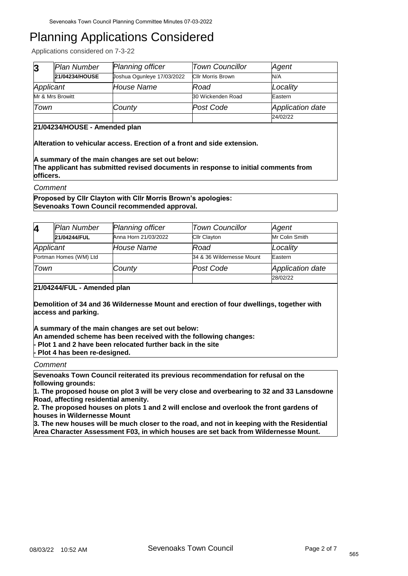Applications considered on 7-3-22

| $\overline{3}$ | Plan Number      | <b>Planning officer</b>    | <b>Town Councillor</b>   | Agent            |
|----------------|------------------|----------------------------|--------------------------|------------------|
|                | 21/04234/HOUSE   | Joshua Ogunleye 17/03/2022 | <b>CIIr Morris Brown</b> | N/A              |
| Applicant      |                  | House Name                 | Road                     | Locality         |
|                | Mr & Mrs Browitt |                            | 30 Wickenden Road        | Eastern          |
| Town           |                  | County                     | Post Code                | Application date |
|                |                  |                            |                          | 24/02/22         |

### **21/04234/HOUSE - Amended plan**

**Alteration to vehicular access. Erection of a front and side extension.**

**A summary of the main changes are set out below: The applicant has submitted revised documents in response to initial comments from officers.**

*Comment*

**Proposed by Cllr Clayton with Cllr Morris Brown's apologies: Sevenoaks Town Council recommended approval.**

| 4                                                                                                                                                                                  | <b>Plan Number</b>     | Planning officer     | <b>Town Councillor</b>    | Agent                   |  |
|------------------------------------------------------------------------------------------------------------------------------------------------------------------------------------|------------------------|----------------------|---------------------------|-------------------------|--|
|                                                                                                                                                                                    | 21/04244/FUL           | Anna Horn 21/03/2022 | <b>Cllr Clayton</b>       | Mr Colin Smith          |  |
| Applicant                                                                                                                                                                          |                        | <i>House Name</i>    | Road                      | Locality                |  |
|                                                                                                                                                                                    | Portman Homes (WM) Ltd |                      | 34 & 36 Wildernesse Mount | Eastern                 |  |
| Town                                                                                                                                                                               |                        | County               | Post Code                 | <b>Application date</b> |  |
|                                                                                                                                                                                    |                        |                      |                           | 28/02/22                |  |
| 21/04244/FUL - Amended plan<br>Demolition of 34 and 36 Wildernesse Mount and erection of four dwellings, together with<br>access and parking.                                      |                        |                      |                           |                         |  |
| A summary of the main changes are set out below:<br>An amended scheme has been received with the following changes:<br>- Plot 1 and 2 have been relocated further back in the site |                        |                      |                           |                         |  |

**- Plot 4 has been re-designed.**

*Comment*

**Sevenoaks Town Council reiterated its previous recommendation for refusal on the following grounds:** 

**1. The proposed house on plot 3 will be very close and overbearing to 32 and 33 Lansdowne Road, affecting residential amenity.**

**2. The proposed houses on plots 1 and 2 will enclose and overlook the front gardens of houses in Wildernesse Mount**

**3. The new houses will be much closer to the road, and not in keeping with the Residential Area Character Assessment F03, in which houses are set back from Wildernesse Mount.**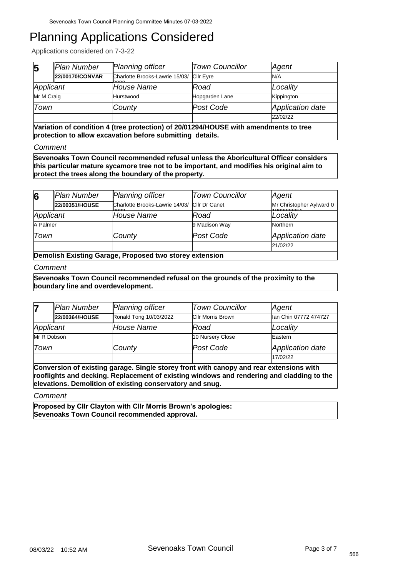Applications considered on 7-3-22

| 5                                                                                    | Plan Number     | Planning officer                                 | <b>Town Councillor</b> | Agent                   |  |
|--------------------------------------------------------------------------------------|-----------------|--------------------------------------------------|------------------------|-------------------------|--|
|                                                                                      | 22/00170/CONVAR | Charlotte Brooks-Lawrie 15/03/ Cllr Eyre<br>nnnn |                        | N/A                     |  |
| Applicant                                                                            |                 | House Name                                       | Road                   | Locality                |  |
| Mr M Craig                                                                           |                 | Hurstwood                                        | Hopgarden Lane         | Kippington              |  |
| Town                                                                                 |                 | County                                           | Post Code              | <b>Application date</b> |  |
|                                                                                      |                 |                                                  |                        | 22/02/22                |  |
| Variation of condition 4 (tree protection) of 20/01294/HOUSE with amendments to tree |                 |                                                  |                        |                         |  |

**protection to allow excavation before submitting details.**

*Comment*

**Sevenoaks Town Council recommended refusal unless the Aboricultural Officer considers this particular mature sycamore tree not to be important, and modifies his original aim to protect the trees along the boundary of the property.**

| 6         | Plan Number    | Planning officer                                     | <b>Town Councillor</b> | Agent                                 |
|-----------|----------------|------------------------------------------------------|------------------------|---------------------------------------|
|           | 22/00351/HOUSE | Charlotte Brooks-Lawrie 14/03/ Cllr Dr Canet<br>hooo |                        | Mr Christopher Aylward 0<br>100000007 |
| Applicant |                | House Name                                           | Road                   | Locality                              |
| A Palmer  |                |                                                      | 9 Madison Way          | Northern                              |
| Town      |                | County                                               | Post Code              | Application date                      |
|           |                |                                                      |                        | 21/02/22                              |

**Demolish Existing Garage, Proposed two storey extension**

#### *Comment*

**Sevenoaks Town Council recommended refusal on the grounds of the proximity to the boundary line and overdevelopment.**

|             | Plan Number    | Planning officer       | <b>Town Councillor</b>   | Agent                 |
|-------------|----------------|------------------------|--------------------------|-----------------------|
|             | 22/00364/HOUSE | Ronald Tong 10/03/2022 | <b>Cllr Morris Brown</b> | lan Chin 07772 474727 |
| Applicant   |                | House Name             | Road                     | Locality              |
| Mr R Dobson |                |                        | 10 Nursery Close         | Eastern               |
| Town        |                | County                 | Post Code                | Application date      |
|             |                |                        |                          | 17/02/22              |

**Conversion of existing garage. Single storey front with canopy and rear extensions with rooflights and decking. Replacement of existing windows and rendering and cladding to the elevations. Demolition of existing conservatory and snug.**

*Comment*

**Proposed by Cllr Clayton with Cllr Morris Brown's apologies: Sevenoaks Town Council recommended approval.**

566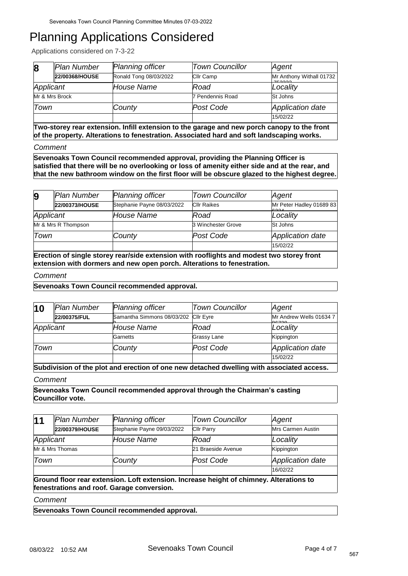Applications considered on 7-3-22

| $\bf{8}$       | Plan Number    | <b>Planning officer</b> | <b>Town Councillor</b> | Agent                             |
|----------------|----------------|-------------------------|------------------------|-----------------------------------|
|                | 22/00368/HOUSE | Ronald Tong 08/03/2022  | Cllr Camp              | Mr Anthony Withall 01732<br>75000 |
| Applicant      |                | House Name              | Road                   | Locality                          |
| Mr & Mrs Brock |                |                         | 7 Pendennis Road       | St Johns                          |
| Town           |                | County                  | Post Code              | Application date                  |
|                |                |                         |                        | 15/02/22                          |

**Two-storey rear extension. Infill extension to the garage and new porch canopy to the front of the property. Alterations to fenestration. Associated hard and soft landscaping works.**

*Comment*

**Sevenoaks Town Council recommended approval, providing the Planning Officer is satisfied that there will be no overlooking or loss of amenity either side and at the rear, and that the new bathroom window on the first floor will be obscure glazed to the highest degree.**

| 9                                                                                                                                                                    | Plan Number         | <b>Planning officer</b>    | <b>Town Councillor</b> | Agent                    |  |
|----------------------------------------------------------------------------------------------------------------------------------------------------------------------|---------------------|----------------------------|------------------------|--------------------------|--|
|                                                                                                                                                                      | 22/00373/HOUSE      | Stephanie Payne 08/03/2022 | <b>CIIr Raikes</b>     | Mr Peter Hadley 01689 83 |  |
| Applicant                                                                                                                                                            |                     | House Name                 | Road                   | Locality                 |  |
|                                                                                                                                                                      | Mr & Mrs R Thompson |                            | 3 Winchester Grove     | St Johns                 |  |
| Town                                                                                                                                                                 |                     | County                     | Post Code              | Application date         |  |
|                                                                                                                                                                      |                     |                            |                        | 15/02/22                 |  |
| Erection of single storey rear/side extension with rooflights and modest two storey front<br>extension with dormers and new open porch. Alterations to fenestration. |                     |                            |                        |                          |  |

#### *Comment*

**Sevenoaks Town Council recommended approval.**

| $\vert$ 10 | Plan Number  | <b>Planning officer</b>              | <b>Town Councillor</b> | Agent                            |
|------------|--------------|--------------------------------------|------------------------|----------------------------------|
|            | 22/00375/FUL | Samantha Simmons 08/03/202 Cllr Eyre |                        | Mr Andrew Wells 01634 7<br>00700 |
| Applicant  |              | House Name                           | Road                   | Locality                         |
|            |              | Garnetts                             | Grassy Lane            | Kippington                       |
| Town       |              | County                               | Post Code              | Application date                 |
|            |              |                                      |                        | 15/02/22                         |

**Subdivision of the plot and erection of one new detached dwelling with associated access.** *Comment*

**Sevenoaks Town Council recommended approval through the Chairman's casting Councillor vote.**

| 11                                                                                                                                    | Plan Number     | <b>Planning officer</b>    | <b>Town Councillor</b> | Agent                   |  |
|---------------------------------------------------------------------------------------------------------------------------------------|-----------------|----------------------------|------------------------|-------------------------|--|
|                                                                                                                                       | 22/00379/HOUSE  | Stephanie Payne 09/03/2022 | <b>Cllr Parry</b>      | Mrs Carmen Austin       |  |
| Applicant                                                                                                                             |                 | <b>House Name</b>          | Road                   | Locality                |  |
|                                                                                                                                       | Mr & Mrs Thomas |                            | 21 Braeside Avenue     | Kippington              |  |
| Town                                                                                                                                  |                 | County                     | Post Code              | <b>Application date</b> |  |
|                                                                                                                                       |                 |                            |                        | 16/02/22                |  |
| Ground floor rear extension. Loft extension. Increase height of chimney. Alterations to<br>fenestrations and roof. Garage conversion. |                 |                            |                        |                         |  |
| Comment                                                                                                                               |                 |                            |                        |                         |  |

**Sevenoaks Town Council recommended approval.**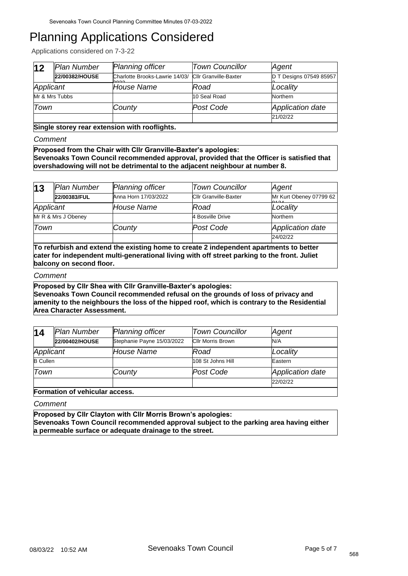Applications considered on 7-3-22

| $ 12\rangle$                                  | Plan Number    | Planning officer                                             | <b>Town Councillor</b> | Agent                   |  |
|-----------------------------------------------|----------------|--------------------------------------------------------------|------------------------|-------------------------|--|
|                                               | 22/00382/HOUSE | Charlotte Brooks-Lawrie 14/03/ Cllr Granville-Baxter<br>hoon |                        | D T Designs 07549 85957 |  |
| Applicant                                     |                | <b>House Name</b>                                            | Road                   | Locality                |  |
| Mr & Mrs Tubbs                                |                |                                                              | 10 Seal Road           | Northern                |  |
| Town                                          |                | County                                                       | Post Code              | Application date        |  |
|                                               |                |                                                              |                        | 21/02/22                |  |
| Single storey rear extension with rooflights. |                |                                                              |                        |                         |  |

#### *Comment*

**Proposed from the Chair with Cllr Granville-Baxter's apologies: Sevenoaks Town Council recommended approval, provided that the Officer is satisfied that overshadowing will not be detrimental to the adjacent neighbour at number 8.**

| 13                  | Plan Number  | <b>Planning officer</b> | <b>Town Councillor</b>       | Agent                                           |
|---------------------|--------------|-------------------------|------------------------------|-------------------------------------------------|
|                     | 22/00383/FUL | Anna Horn 17/03/2022    | <b>Cllr Granville-Baxter</b> | Mr Kurt Obeney 07799 62<br>$\sim$ $\sim$ $\sim$ |
| Applicant           |              | House Name              | Road                         | Locality                                        |
| Mr R & Mrs J Obeney |              |                         | 4 Bosville Drive             | Northern                                        |
| Town                |              | County                  | Post Code                    | Application date                                |
|                     |              |                         |                              | 24/02/22                                        |

**To refurbish and extend the existing home to create 2 independent apartments to better cater for independent multi-generational living with off street parking to the front. Juliet balcony on second floor.**

#### *Comment*

**Proposed by Cllr Shea with Cllr Granville-Baxter's apologies: Sevenoaks Town Council recommended refusal on the grounds of loss of privacy and amenity to the neighbours the loss of the hipped roof, which is contrary to the Residential Area Character Assessment.**

| 14              | Plan Number    | Planning officer           | <b>Town Councillor</b>   | Agent            |
|-----------------|----------------|----------------------------|--------------------------|------------------|
|                 | 22/00402/HOUSE | Stephanie Payne 15/03/2022 | <b>Cllr Morris Brown</b> | N/A              |
| Applicant       |                | <b>House Name</b>          | Road                     | Locality         |
| <b>B</b> Cullen |                |                            | 108 St Johns Hill        | Eastern          |
| Town            |                | County                     | Post Code                | Application date |
|                 |                |                            |                          | 22/02/22         |

**Formation of vehicular access.**

*Comment*

**Proposed by Cllr Clayton with Cllr Morris Brown's apologies: Sevenoaks Town Council recommended approval subject to the parking area having either a permeable surface or adequate drainage to the street.**

568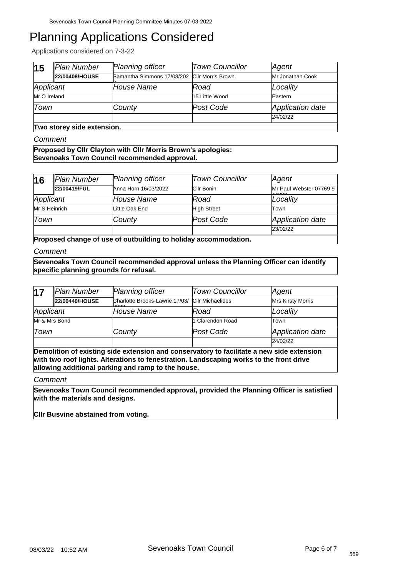Applications considered on 7-3-22

| 15                         | Plan Number    | <b>Planning officer</b>                      | <b>Town Councillor</b> | Agent            |  |
|----------------------------|----------------|----------------------------------------------|------------------------|------------------|--|
|                            | 22/00408/HOUSE | Samantha Simmons 17/03/202 Cllr Morris Brown |                        | Mr Jonathan Cook |  |
| Applicant                  |                | House Name                                   | Road                   | Locality         |  |
| Mr O Ireland               |                |                                              | 15 Little Wood         | Eastern          |  |
| Town                       |                | County                                       | Post Code              | Application date |  |
|                            |                |                                              |                        | 24/02/22         |  |
| Two storey side extension. |                |                                              |                        |                  |  |

*Comment*

**Proposed by Cllr Clayton with Cllr Morris Brown's apologies: Sevenoaks Town Council recommended approval.**

| 16                                                              | Plan Number  | <b>Planning officer</b> | <b>Town Councillor</b> | Agent                               |  |
|-----------------------------------------------------------------|--------------|-------------------------|------------------------|-------------------------------------|--|
|                                                                 | 22/00419/FUL | Anna Horn 16/03/2022    | <b>CIIr Bonin</b>      | Mr Paul Webster 07769 9<br>$\cdots$ |  |
| Applicant                                                       |              | <b>House Name</b>       | Road                   | Locality                            |  |
| Mr S Heinrich                                                   |              | Little Oak End          | <b>High Street</b>     | Town                                |  |
| Town                                                            |              | County                  | Post Code              | Application date                    |  |
|                                                                 |              |                         |                        | 23/02/22                            |  |
| Proposed change of use of outbuilding to holiday accommodation. |              |                         |                        |                                     |  |

*Comment*

**Sevenoaks Town Council recommended approval unless the Planning Officer can identify specific planning grounds for refusal.**

| 17            | Plan Number    | <b>Planning officer</b>                                 | <b>Town Councillor</b> | Agent                    |
|---------------|----------------|---------------------------------------------------------|------------------------|--------------------------|
|               | 22/00440/HOUSE | Charlotte Brooks-Lawrie 17/03/ Cllr Michaelides<br>hooo |                        | <b>Mrs Kirsty Morris</b> |
| Applicant     |                | lHouse Name                                             | Road                   | Locality                 |
| Mr & Mrs Bond |                |                                                         | 1 Clarendon Road       | Town                     |
| Town          |                | County                                                  | Post Code              | Application date         |
|               |                |                                                         |                        | 24/02/22                 |

**Demolition of existing side extension and conservatory to facilitate a new side extension with two roof lights. Alterations to fenestration. Landscaping works to the front drive allowing additional parking and ramp to the house.**

*Comment*

**Sevenoaks Town Council recommended approval, provided the Planning Officer is satisfied with the materials and designs.**

**Cllr Busvine abstained from voting.**